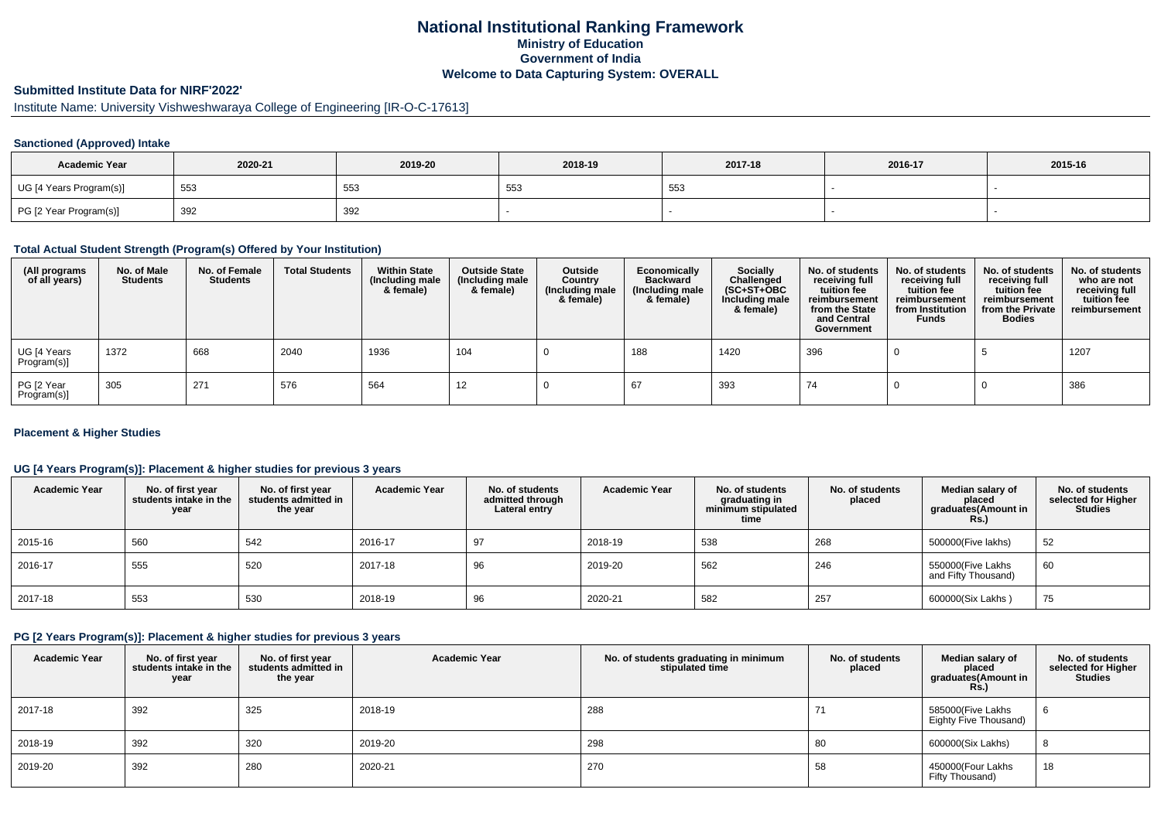# **National Institutional Ranking FrameworkMinistry of Education Government of IndiaWelcome to Data Capturing System: OVERALL**

# **Submitted Institute Data for NIRF'2022'**

# Institute Name: University Vishweshwaraya College of Engineering [IR-O-C-17613]

#### **Sanctioned (Approved) Intake**

| <b>Academic Year</b>    | 2020-21 | 2019-20 | 2018-19     | 2017-18 | 2016-17 | 2015-16 |
|-------------------------|---------|---------|-------------|---------|---------|---------|
| UG [4 Years Program(s)] | 553     | 553     | $ -$<br>ັບບ | 553     |         |         |
| PG [2 Year Program(s)]  | 392     | 392     |             |         |         |         |

#### **Total Actual Student Strength (Program(s) Offered by Your Institution)**

| (All programs<br>of all years) | No. of Male<br><b>Students</b> | No. of Female<br><b>Students</b> | <b>Total Students</b> | <b>Within State</b><br>(Including male<br>& female) | <b>Outside State</b><br>(Including male<br>& female) | Outside<br>Country<br>(Including male<br>& female) | Economically<br><b>Backward</b><br>(Including male<br>& female) | <b>Socially</b><br>Challenged<br>$(SC+ST+OBC)$<br>Including male<br>& female) | No. of students<br>receiving full<br>tuition fee<br>reimbursement<br>from the State<br>and Central<br>Government | No. of students<br>receiving full<br>tuition fee<br>reimbursement<br>from Institution<br><b>Funds</b> | No. of students<br>receiving full<br>tuition fee<br>reimbursement<br>from the Private<br><b>Bodies</b> | No. of students<br>who are not<br>receiving full<br>tuition fee<br>reimbursement |
|--------------------------------|--------------------------------|----------------------------------|-----------------------|-----------------------------------------------------|------------------------------------------------------|----------------------------------------------------|-----------------------------------------------------------------|-------------------------------------------------------------------------------|------------------------------------------------------------------------------------------------------------------|-------------------------------------------------------------------------------------------------------|--------------------------------------------------------------------------------------------------------|----------------------------------------------------------------------------------|
| UG [4 Years<br>Program(s)]     | 1372                           | 668                              | 2040                  | 1936                                                | 104                                                  |                                                    | 188                                                             | 1420                                                                          | 396                                                                                                              |                                                                                                       |                                                                                                        | 1207                                                                             |
| PG [2 Year<br>Program(s)]      | 305                            | 271                              | 576                   | 564                                                 | 12                                                   |                                                    |                                                                 | 393                                                                           | 74                                                                                                               |                                                                                                       |                                                                                                        | 386                                                                              |

#### **Placement & Higher Studies**

#### **UG [4 Years Program(s)]: Placement & higher studies for previous 3 years**

| <b>Academic Year</b> | No. of first year<br>students intake in the<br>year | No. of first year<br>students admitted in<br>the year | <b>Academic Year</b> | No. of students<br>admitted through<br>Lateral entry | <b>Academic Year</b> | No. of students<br>graduating in<br>minimum stipulated<br>time | No. of students<br>placed | Median salary of<br>placed<br>graduates(Amount in<br><b>Rs.)</b> | No. of students<br>selected for Higher<br><b>Studies</b> |
|----------------------|-----------------------------------------------------|-------------------------------------------------------|----------------------|------------------------------------------------------|----------------------|----------------------------------------------------------------|---------------------------|------------------------------------------------------------------|----------------------------------------------------------|
| 2015-16              | 560                                                 | 542                                                   | 2016-17              | 97                                                   | 2018-19              | 538                                                            | 268                       | 500000(Five lakhs)                                               | 52                                                       |
| 2016-17              | 555                                                 | 520                                                   | 2017-18              | 96                                                   | 2019-20              | 562                                                            | 246                       | 550000(Five Lakhs<br>and Fifty Thousand)                         | 60                                                       |
| 2017-18              | 553                                                 | 530                                                   | 2018-19              | 96                                                   | 2020-21              | 582                                                            | 257                       | 600000(Six Lakhs)                                                | 75                                                       |

#### **PG [2 Years Program(s)]: Placement & higher studies for previous 3 years**

| <b>Academic Year</b> | No. of first year<br>students intake in the<br>year | No. of first year<br>students admitted in<br>the year | <b>Academic Year</b> | No. of students graduating in minimum<br>stipulated time | No. of students<br>placed | Median salary of<br>placed<br>graduates(Amount in<br>Rs.) | No. of students<br>selected for Higher<br><b>Studies</b> |
|----------------------|-----------------------------------------------------|-------------------------------------------------------|----------------------|----------------------------------------------------------|---------------------------|-----------------------------------------------------------|----------------------------------------------------------|
| 2017-18              | 392                                                 | 325                                                   | 2018-19              | 288                                                      |                           | 585000(Five Lakhs<br>Eighty Five Thousand)                | -6                                                       |
| 2018-19              | 392                                                 | 320                                                   | 2019-20              | 298                                                      | 80                        | 600000(Six Lakhs)                                         | 8                                                        |
| 2019-20              | 392                                                 | 280                                                   | 2020-21              | 270                                                      | 58                        | 450000(Four Lakhs<br>Fifty Thousand)                      | 18                                                       |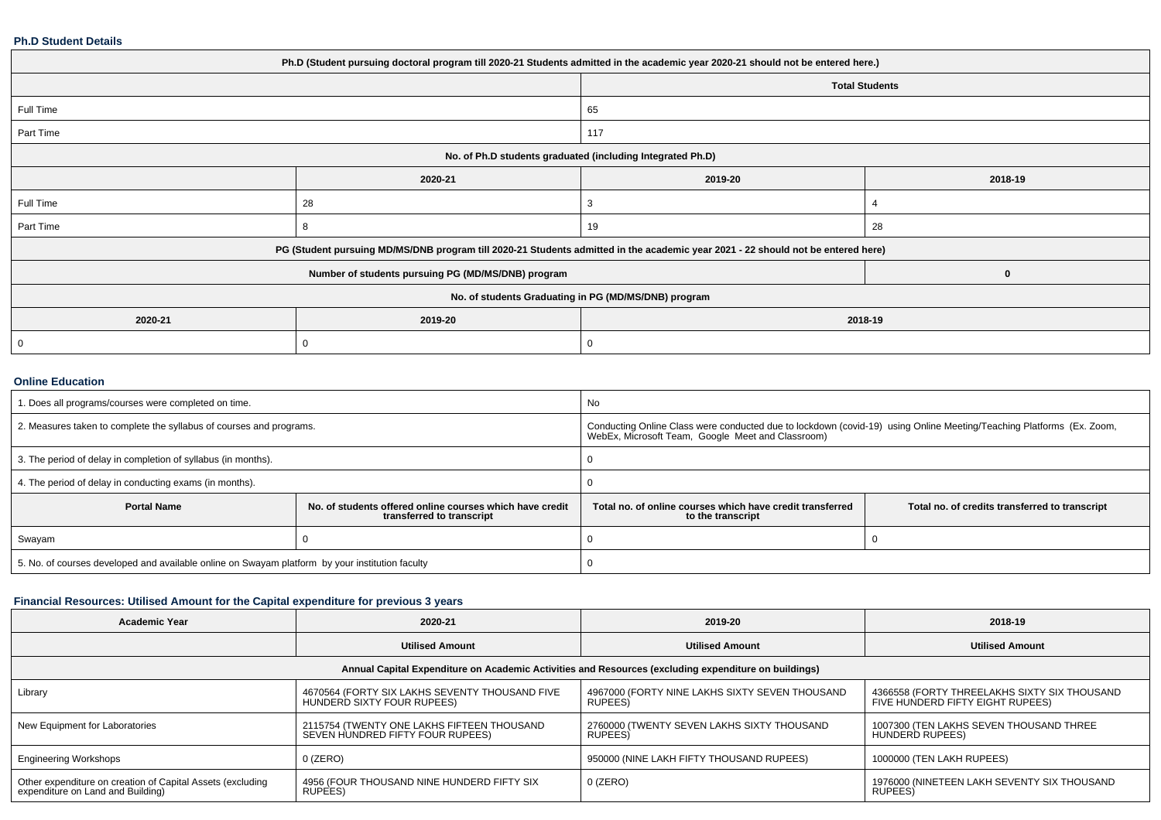#### **Ph.D Student Details**

| Ph.D (Student pursuing doctoral program till 2020-21 Students admitted in the academic year 2020-21 should not be entered here.) |                                                                                                                                  |                       |         |  |  |
|----------------------------------------------------------------------------------------------------------------------------------|----------------------------------------------------------------------------------------------------------------------------------|-----------------------|---------|--|--|
|                                                                                                                                  |                                                                                                                                  | <b>Total Students</b> |         |  |  |
| Full Time                                                                                                                        |                                                                                                                                  | 65                    |         |  |  |
| Part Time                                                                                                                        |                                                                                                                                  | 117                   |         |  |  |
| No. of Ph.D students graduated (including Integrated Ph.D)                                                                       |                                                                                                                                  |                       |         |  |  |
|                                                                                                                                  | 2020-21                                                                                                                          | 2019-20               | 2018-19 |  |  |
| Full Time                                                                                                                        | 28                                                                                                                               |                       |         |  |  |
| Part Time                                                                                                                        | 8                                                                                                                                | 19                    | 28      |  |  |
|                                                                                                                                  | PG (Student pursuing MD/MS/DNB program till 2020-21 Students admitted in the academic year 2021 - 22 should not be entered here) |                       |         |  |  |
|                                                                                                                                  | Number of students pursuing PG (MD/MS/DNB) program                                                                               |                       | 0       |  |  |
| No. of students Graduating in PG (MD/MS/DNB) program                                                                             |                                                                                                                                  |                       |         |  |  |
| 2020-21                                                                                                                          | 2019-20                                                                                                                          | 2018-19               |         |  |  |
|                                                                                                                                  | O                                                                                                                                |                       |         |  |  |
|                                                                                                                                  |                                                                                                                                  |                       |         |  |  |

### **Online Education**

| I. Does all programs/courses were completed on time.                                            |                                                                                       | No                                                                                                                                                                        |                                                |  |
|-------------------------------------------------------------------------------------------------|---------------------------------------------------------------------------------------|---------------------------------------------------------------------------------------------------------------------------------------------------------------------------|------------------------------------------------|--|
| 2. Measures taken to complete the syllabus of courses and programs.                             |                                                                                       | Conducting Online Class were conducted due to lockdown (covid-19) using Online Meeting/Teaching Platforms (Ex. Zoom,<br>WebEx, Microsoft Team, Google Meet and Classroom) |                                                |  |
| 3. The period of delay in completion of syllabus (in months).                                   |                                                                                       |                                                                                                                                                                           |                                                |  |
| 4. The period of delay in conducting exams (in months).                                         |                                                                                       |                                                                                                                                                                           |                                                |  |
| <b>Portal Name</b>                                                                              | No. of students offered online courses which have credit<br>transferred to transcript | Total no, of online courses which have credit transferred<br>to the transcript                                                                                            | Total no. of credits transferred to transcript |  |
| Swayam                                                                                          |                                                                                       |                                                                                                                                                                           |                                                |  |
| 5. No. of courses developed and available online on Swayam platform by your institution faculty |                                                                                       |                                                                                                                                                                           |                                                |  |

# **Financial Resources: Utilised Amount for the Capital expenditure for previous 3 years**

| Academic Year                                                                                        | 2020-21                                                                        | 2019-20                                                   | 2018-19                                                                          |  |  |  |  |  |
|------------------------------------------------------------------------------------------------------|--------------------------------------------------------------------------------|-----------------------------------------------------------|----------------------------------------------------------------------------------|--|--|--|--|--|
|                                                                                                      | <b>Utilised Amount</b>                                                         | <b>Utilised Amount</b>                                    | <b>Utilised Amount</b>                                                           |  |  |  |  |  |
| Annual Capital Expenditure on Academic Activities and Resources (excluding expenditure on buildings) |                                                                                |                                                           |                                                                                  |  |  |  |  |  |
| Library                                                                                              | 4670564 (FORTY SIX LAKHS SEVENTY THOUSAND FIVE<br>HUNDERD SIXTY FOUR RUPEES)   | 4967000 (FORTY NINE LAKHS SIXTY SEVEN THOUSAND<br>RUPEES) | 4366558 (FORTY THREELAKHS SIXTY SIX THOUSAND<br>FIVE HUNDERD FIFTY EIGHT RUPEES) |  |  |  |  |  |
| New Equipment for Laboratories                                                                       | 2115754 (TWENTY ONE LAKHS FIFTEEN THOUSAND<br>SEVEN HUNDRED FIFTY FOUR RUPEES) | 2760000 (TWENTY SEVEN LAKHS SIXTY THOUSAND<br>RUPEES)     | 1007300 (TEN LAKHS SEVEN THOUSAND THREE<br><b>HUNDERD RUPEES)</b>                |  |  |  |  |  |
| <b>Engineering Workshops</b>                                                                         | $0$ (ZERO)                                                                     | 950000 (NINE LAKH FIFTY THOUSAND RUPEES)                  | 1000000 (TEN LAKH RUPEES)                                                        |  |  |  |  |  |
| Other expenditure on creation of Capital Assets (excluding<br>expenditure on Land and Building)      | 4956 (FOUR THOUSAND NINE HUNDERD FIFTY SIX<br>RUPEES)                          | $0$ (ZERO)                                                | 1976000 (NINETEEN LAKH SEVENTY SIX THOUSAND<br>RUPEES)                           |  |  |  |  |  |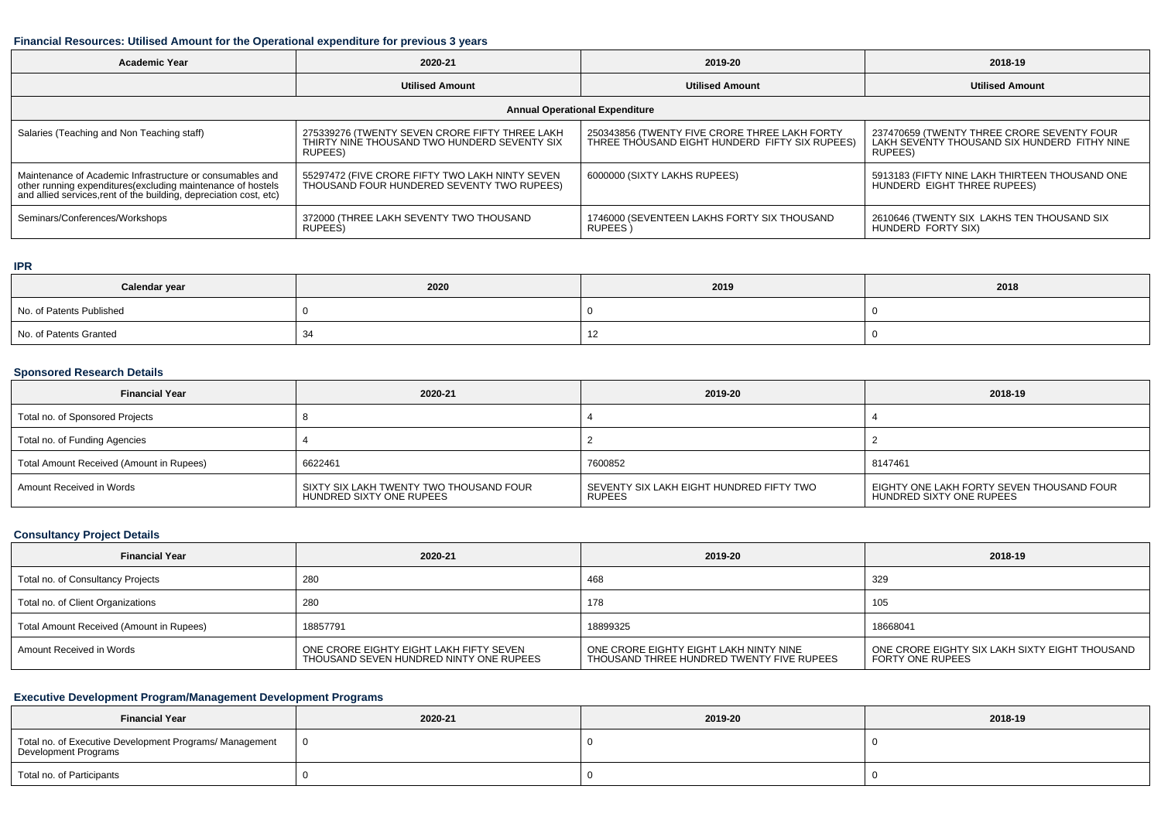#### **Financial Resources: Utilised Amount for the Operational expenditure for previous 3 years**

| <b>Academic Year</b>                                                                                                                                                                            | 2020-21                                                                                                   |                                                                                                 | 2018-19                                                                                               |  |  |  |  |
|-------------------------------------------------------------------------------------------------------------------------------------------------------------------------------------------------|-----------------------------------------------------------------------------------------------------------|-------------------------------------------------------------------------------------------------|-------------------------------------------------------------------------------------------------------|--|--|--|--|
|                                                                                                                                                                                                 | <b>Utilised Amount</b>                                                                                    | <b>Utilised Amount</b>                                                                          | <b>Utilised Amount</b>                                                                                |  |  |  |  |
| <b>Annual Operational Expenditure</b>                                                                                                                                                           |                                                                                                           |                                                                                                 |                                                                                                       |  |  |  |  |
| Salaries (Teaching and Non Teaching staff)                                                                                                                                                      | 275339276 (TWENTY SEVEN CRORE FIFTY THREE LAKH<br>THIRTY NINE THOUSAND TWO HUNDERD SEVENTY SIX<br>RUPEES) | 250343856 (TWENTY FIVE CRORE THREE LAKH FORTY<br>THREE THOUSAND EIGHT HUNDERD FIFTY SIX RUPEES) | 237470659 (TWENTY THREE CRORE SEVENTY FOUR<br>LAKH SEVENTY THOUSAND SIX HUNDERD FITHY NINE<br>RUPEES) |  |  |  |  |
| Maintenance of Academic Infrastructure or consumables and<br>other running expenditures (excluding maintenance of hostels<br>and allied services, rent of the building, depreciation cost, etc) | 55297472 (FIVE CRORE FIFTY TWO LAKH NINTY SEVEN<br>THOUSAND FOUR HUNDERED SEVENTY TWO RUPEES)             | 6000000 (SIXTY LAKHS RUPEES)                                                                    | 5913183 (FIFTY NINE LAKH THIRTEEN THOUSAND ONE<br>HUNDERD EIGHT THREE RUPEES)                         |  |  |  |  |
| Seminars/Conferences/Workshops                                                                                                                                                                  | 372000 (THREE LAKH SEVENTY TWO THOUSAND<br>RUPEES)                                                        | 1746000 (SEVENTEEN LAKHS FORTY SIX THOUSAND<br>RUPEES)                                          | 2610646 (TWENTY SIX LAKHS TEN THOUSAND SIX<br>HUNDERD FORTY SIX)                                      |  |  |  |  |

#### **IPR**

| Calendar year            | 2020 | 2019 | 2018 |
|--------------------------|------|------|------|
| No. of Patents Published |      |      |      |
| No. of Patents Granted   |      |      |      |

## **Sponsored Research Details**

| <b>Financial Year</b>                    | 2020-21                                                             | 2019-20                                                   | 2018-19                                                               |
|------------------------------------------|---------------------------------------------------------------------|-----------------------------------------------------------|-----------------------------------------------------------------------|
| Total no. of Sponsored Projects          |                                                                     |                                                           |                                                                       |
| Total no. of Funding Agencies            |                                                                     |                                                           |                                                                       |
| Total Amount Received (Amount in Rupees) | 6622461                                                             | 7600852                                                   | 8147461                                                               |
| Amount Received in Words                 | SIXTY SIX LAKH TWENTY TWO THOUSAND FOUR<br>HUNDRED SIXTY ONE RUPEES | SEVENTY SIX LAKH EIGHT HUNDRED FIFTY TWO<br><b>RUPEES</b> | EIGHTY ONE LAKH FORTY SEVEN THOUSAND FOUR<br>HUNDRED SIXTY ONE RUPEES |

### **Consultancy Project Details**

| <b>Financial Year</b>                    | 2020-21                                                                            | 2019-20                                                                             | 2018-19                                                                   |
|------------------------------------------|------------------------------------------------------------------------------------|-------------------------------------------------------------------------------------|---------------------------------------------------------------------------|
| Total no. of Consultancy Projects        | 280                                                                                | 468                                                                                 | 329                                                                       |
| Total no. of Client Organizations        | 280                                                                                | 178                                                                                 | 105                                                                       |
| Total Amount Received (Amount in Rupees) | 18857791                                                                           | 18899325                                                                            | 18668041                                                                  |
| Amount Received in Words                 | ONE CRORE EIGHTY EIGHT LAKH FIFTY SEVEN<br>THOUSAND SEVEN HUNDRED NINTY ONE RUPEES | ONE CRORE EIGHTY EIGHT LAKH NINTY NINE<br>THOUSAND THREE HUNDRED TWENTY FIVE RUPEES | ONE CRORE EIGHTY SIX LAKH SIXTY EIGHT THOUSAND<br><b>FORTY ONE RUPEES</b> |

## **Executive Development Program/Management Development Programs**

| <b>Financial Year</b>                                                           | 2020-21 | 2019-20 | 2018-19 |
|---------------------------------------------------------------------------------|---------|---------|---------|
| Total no. of Executive Development Programs/ Management<br>Development Programs | - 0     |         |         |
| Total no. of Participants                                                       |         |         |         |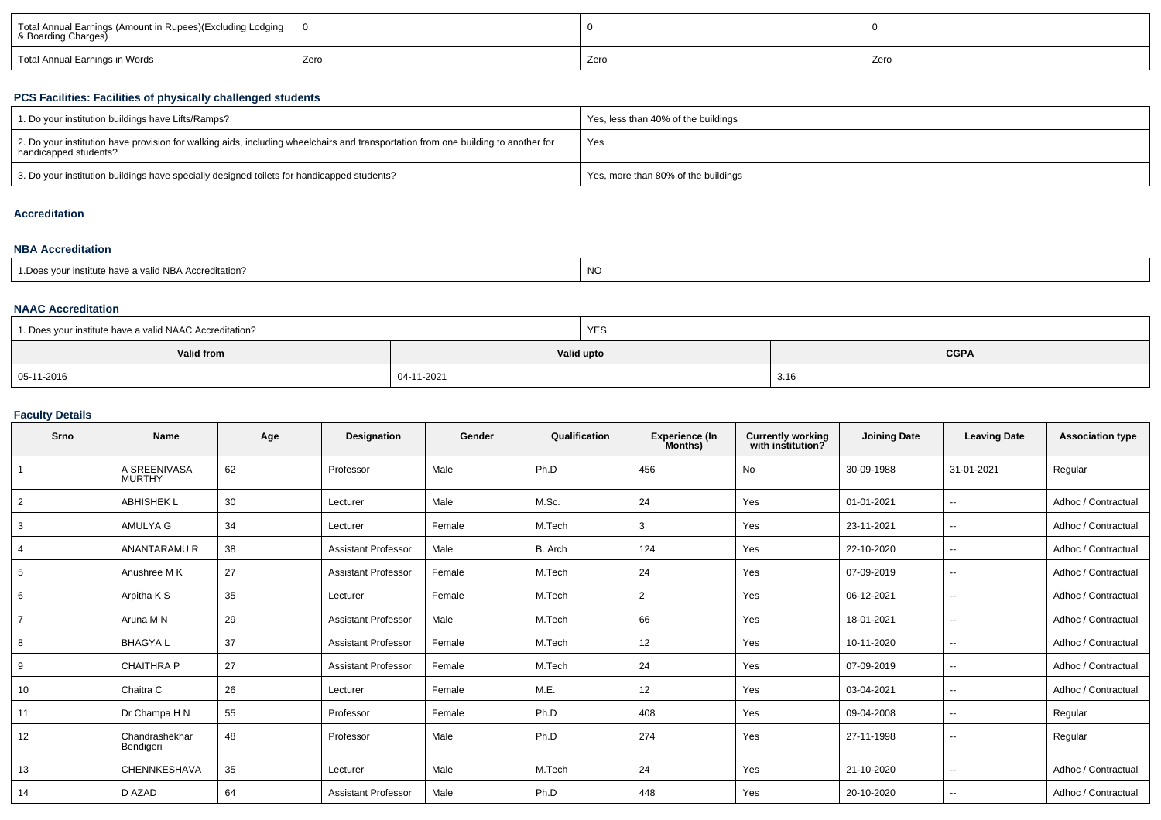| Total Annual Earnings (Amount in Rupees)(Excluding Lodging<br>& Boarding Charges) |      |      |      |  |
|-----------------------------------------------------------------------------------|------|------|------|--|
| Total Annual Earnings in Words                                                    | Zero | Zero | Zero |  |

### **PCS Facilities: Facilities of physically challenged students**

| 1. Do your institution buildings have Lifts/Ramps?                                                                                                         | Yes, less than 40% of the buildings |
|------------------------------------------------------------------------------------------------------------------------------------------------------------|-------------------------------------|
| 2. Do your institution have provision for walking aids, including wheelchairs and transportation from one building to another for<br>handicapped students? | Yes                                 |
| 3. Do your institution buildings have specially designed toilets for handicapped students?                                                                 | Yes, more than 80% of the buildings |

### **Accreditation**

#### **NBA Accreditation**

| institute have a valid NBA Accreditation?<br><b>NO</b><br>1. Does your in. |
|----------------------------------------------------------------------------|
|----------------------------------------------------------------------------|

#### **NAAC Accreditation**

| 1. Does your institute have a valid NAAC Accreditation? | <b>YES</b> |             |  |  |  |  |
|---------------------------------------------------------|------------|-------------|--|--|--|--|
| Valid from                                              | Valid upto | <b>CGPA</b> |  |  |  |  |
| 05-11-2016                                              | 04-11-2021 | 3.16        |  |  |  |  |

#### **Faculty Details**

| Srno           | <b>Name</b>                   | Age | Designation                | Gender | Qualification | <b>Experience (In</b><br>Months) | <b>Currently working</b><br>with institution? | <b>Joining Date</b> | <b>Leaving Date</b>      | <b>Association type</b> |
|----------------|-------------------------------|-----|----------------------------|--------|---------------|----------------------------------|-----------------------------------------------|---------------------|--------------------------|-------------------------|
| $\overline{1}$ | A SREENIVASA<br><b>MURTHY</b> | 62  | Professor                  | Male   | Ph.D          | 456                              | <b>No</b>                                     | 30-09-1988          | 31-01-2021               | Regular                 |
| 2              | <b>ABHISHEK L</b>             | 30  | Lecturer                   | Male   | M.Sc.         | 24                               | Yes                                           | 01-01-2021          | $\sim$                   | Adhoc / Contractual     |
| 3              | AMULYA G                      | 34  | Lecturer                   | Female | M.Tech        | 3                                | Yes                                           | 23-11-2021          | $\sim$                   | Adhoc / Contractual     |
| 4              | ANANTARAMUR                   | 38  | <b>Assistant Professor</b> | Male   | B. Arch       | 124                              | Yes                                           | 22-10-2020          | $\overline{\phantom{a}}$ | Adhoc / Contractual     |
| 5              | Anushree M K                  | 27  | <b>Assistant Professor</b> | Female | M.Tech        | 24                               | Yes                                           | 07-09-2019          | $- -$                    | Adhoc / Contractual     |
| 6              | Arpitha K S                   | 35  | Lecturer                   | Female | M.Tech        | 2                                | Yes                                           | 06-12-2021          | $\sim$                   | Adhoc / Contractual     |
| $\overline{7}$ | Aruna M N                     | 29  | <b>Assistant Professor</b> | Male   | M.Tech        | 66                               | Yes                                           | 18-01-2021          | $\sim$                   | Adhoc / Contractual     |
| 8              | <b>BHAGYAL</b>                | 37  | <b>Assistant Professor</b> | Female | M.Tech        | 12                               | Yes                                           | 10-11-2020          | $\sim$                   | Adhoc / Contractual     |
| 9              | <b>CHAITHRA P</b>             | 27  | <b>Assistant Professor</b> | Female | M.Tech        | 24                               | Yes                                           | 07-09-2019          | $\sim$                   | Adhoc / Contractual     |
| 10             | Chaitra C                     | 26  | Lecturer                   | Female | M.E.          | 12                               | Yes                                           | 03-04-2021          | $\sim$                   | Adhoc / Contractual     |
| 11             | Dr Champa H N                 | 55  | Professor                  | Female | Ph.D          | 408                              | Yes                                           | 09-04-2008          | $- -$                    | Regular                 |
| 12             | Chandrashekhar<br>Bendigeri   | 48  | Professor                  | Male   | Ph.D          | 274                              | Yes                                           | 27-11-1998          | $\sim$                   | Regular                 |
| 13             | <b>CHENNKESHAVA</b>           | 35  | Lecturer                   | Male   | M.Tech        | 24                               | Yes                                           | 21-10-2020          | $- -$                    | Adhoc / Contractual     |
| 14             | D AZAD                        | 64  | <b>Assistant Professor</b> | Male   | Ph.D          | 448                              | Yes                                           | 20-10-2020          | $\sim$                   | Adhoc / Contractual     |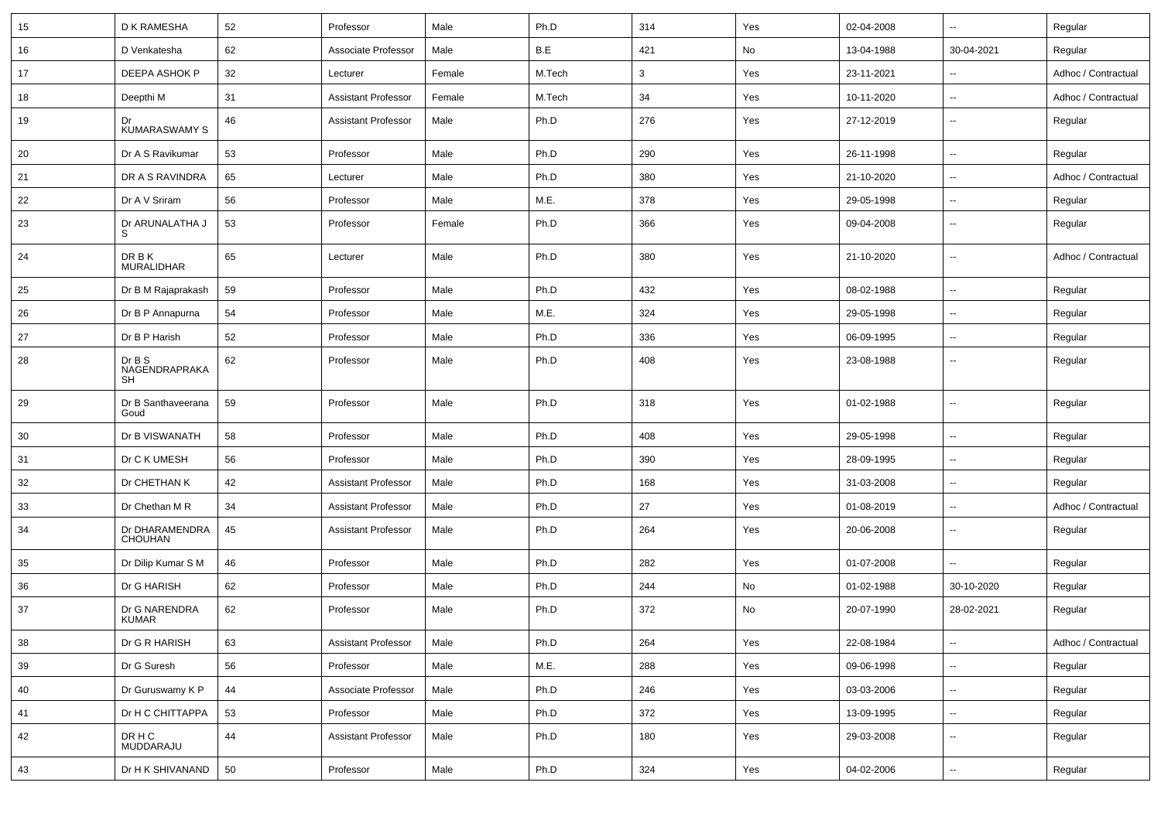| 15 | D K RAMESHA                         | 52 | Professor                  | Male   | Ph.D   | 314          | Yes | 02-04-2008 | $\overline{\phantom{a}}$ | Regular             |
|----|-------------------------------------|----|----------------------------|--------|--------|--------------|-----|------------|--------------------------|---------------------|
| 16 | D Venkatesha                        | 62 | Associate Professor        | Male   | B.E    | 421          | No  | 13-04-1988 | 30-04-2021               | Regular             |
| 17 | DEEPA ASHOK P                       | 32 | Lecturer                   | Female | M.Tech | $\mathbf{3}$ | Yes | 23-11-2021 | $\overline{\phantom{a}}$ | Adhoc / Contractual |
| 18 | Deepthi M                           | 31 | <b>Assistant Professor</b> | Female | M.Tech | 34           | Yes | 10-11-2020 | $\overline{\phantom{a}}$ | Adhoc / Contractual |
| 19 | Dr<br><b>KUMARASWAMY S</b>          | 46 | <b>Assistant Professor</b> | Male   | Ph.D   | 276          | Yes | 27-12-2019 | $\overline{\phantom{a}}$ | Regular             |
| 20 | Dr A S Ravikumar                    | 53 | Professor                  | Male   | Ph.D   | 290          | Yes | 26-11-1998 | $\overline{\phantom{a}}$ | Regular             |
| 21 | DR A S RAVINDRA                     | 65 | Lecturer                   | Male   | Ph.D   | 380          | Yes | 21-10-2020 | $\ddotsc$                | Adhoc / Contractual |
| 22 | Dr A V Sriram                       | 56 | Professor                  | Male   | M.E.   | 378          | Yes | 29-05-1998 | $\overline{\phantom{a}}$ | Regular             |
| 23 | Dr ARUNALATHA J<br>S                | 53 | Professor                  | Female | Ph.D   | 366          | Yes | 09-04-2008 | $\overline{\phantom{a}}$ | Regular             |
| 24 | DR B K<br><b>MURALIDHAR</b>         | 65 | Lecturer                   | Male   | Ph.D   | 380          | Yes | 21-10-2020 | $\overline{\phantom{a}}$ | Adhoc / Contractual |
| 25 | Dr B M Rajaprakash                  | 59 | Professor                  | Male   | Ph.D   | 432          | Yes | 08-02-1988 | $\overline{\phantom{a}}$ | Regular             |
| 26 | Dr B P Annapurna                    | 54 | Professor                  | Male   | M.E.   | 324          | Yes | 29-05-1998 | $\overline{\phantom{a}}$ | Regular             |
| 27 | Dr B P Harish                       | 52 | Professor                  | Male   | Ph.D   | 336          | Yes | 06-09-1995 | $\overline{\phantom{a}}$ | Regular             |
| 28 | DrB S<br>NAGENDRAPRAKA<br><b>SH</b> | 62 | Professor                  | Male   | Ph.D   | 408          | Yes | 23-08-1988 | $\overline{\phantom{a}}$ | Regular             |
| 29 | Dr B Santhaveerana<br>Goud          | 59 | Professor                  | Male   | Ph.D   | 318          | Yes | 01-02-1988 | $\overline{\phantom{a}}$ | Regular             |
| 30 | Dr B VISWANATH                      | 58 | Professor                  | Male   | Ph.D   | 408          | Yes | 29-05-1998 | $\overline{\phantom{a}}$ | Regular             |
| 31 | Dr C K UMESH                        | 56 | Professor                  | Male   | Ph.D   | 390          | Yes | 28-09-1995 | $\overline{\phantom{a}}$ | Regular             |
| 32 | Dr CHETHAN K                        | 42 | <b>Assistant Professor</b> | Male   | Ph.D   | 168          | Yes | 31-03-2008 | $\ddotsc$                | Regular             |
| 33 | Dr Chethan M R                      | 34 | Assistant Professor        | Male   | Ph.D   | 27           | Yes | 01-08-2019 | $\overline{\phantom{a}}$ | Adhoc / Contractual |
| 34 | Dr DHARAMENDRA<br><b>CHOUHAN</b>    | 45 | <b>Assistant Professor</b> | Male   | Ph.D   | 264          | Yes | 20-06-2008 | $\overline{\phantom{a}}$ | Regular             |
| 35 | Dr Dilip Kumar S M                  | 46 | Professor                  | Male   | Ph.D   | 282          | Yes | 01-07-2008 | $\overline{\phantom{a}}$ | Regular             |
| 36 | Dr G HARISH                         | 62 | Professor                  | Male   | Ph.D   | 244          | No  | 01-02-1988 | 30-10-2020               | Regular             |
| 37 | Dr G NARENDRA<br><b>KUMAR</b>       | 62 | Professor                  | Male   | Ph.D   | 372          | No  | 20-07-1990 | 28-02-2021               | Regular             |
| 38 | Dr G R HARISH                       | 63 | <b>Assistant Professor</b> | Male   | Ph.D   | 264          | Yes | 22-08-1984 | $\overline{\phantom{a}}$ | Adhoc / Contractual |
| 39 | Dr G Suresh                         | 56 | Professor                  | Male   | M.E.   | 288          | Yes | 09-06-1998 | $\overline{\phantom{a}}$ | Regular             |
| 40 | Dr Guruswamy K P                    | 44 | Associate Professor        | Male   | Ph.D   | 246          | Yes | 03-03-2006 | $\overline{\phantom{a}}$ | Regular             |
| 41 | Dr H C CHITTAPPA                    | 53 | Professor                  | Male   | Ph.D   | 372          | Yes | 13-09-1995 | ۰.                       | Regular             |
| 42 | DR H C<br>MUDDARAJU                 | 44 | <b>Assistant Professor</b> | Male   | Ph.D   | 180          | Yes | 29-03-2008 | ۰.                       | Regular             |
| 43 | Dr H K SHIVANAND                    | 50 | Professor                  | Male   | Ph.D   | 324          | Yes | 04-02-2006 | $\overline{\phantom{a}}$ | Regular             |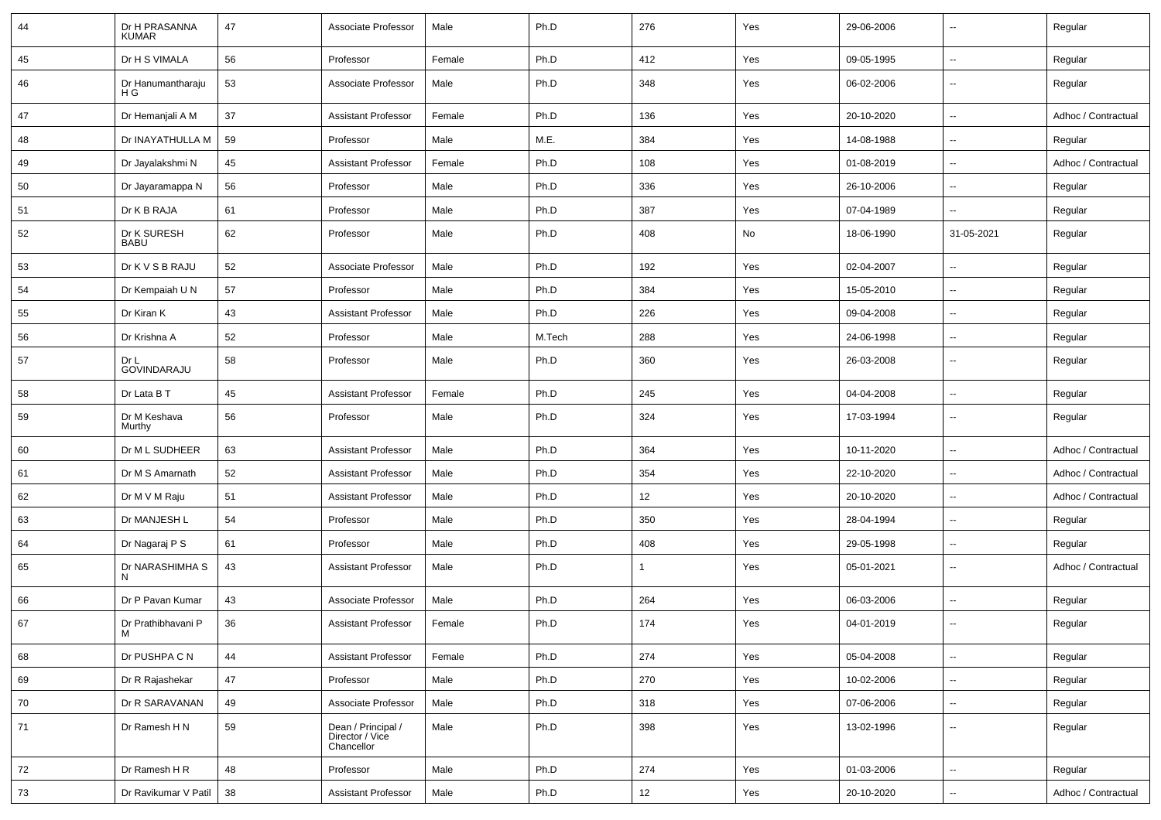| 44 | Dr H PRASANNA<br><b>KUMAR</b> | 47 | Associate Professor                                 | Male   | Ph.D   | 276               | Yes | 29-06-2006 | $\overline{\phantom{a}}$ | Regular             |
|----|-------------------------------|----|-----------------------------------------------------|--------|--------|-------------------|-----|------------|--------------------------|---------------------|
| 45 | Dr H S VIMALA                 | 56 | Professor                                           | Female | Ph.D   | 412               | Yes | 09-05-1995 | $\overline{\phantom{a}}$ | Regular             |
| 46 | Dr Hanumantharaju<br>H G      | 53 | Associate Professor                                 | Male   | Ph.D   | 348               | Yes | 06-02-2006 | $\overline{\phantom{a}}$ | Regular             |
| 47 | Dr Hemanjali A M              | 37 | <b>Assistant Professor</b>                          | Female | Ph.D   | 136               | Yes | 20-10-2020 | $\overline{\phantom{a}}$ | Adhoc / Contractual |
| 48 | Dr INAYATHULLA M              | 59 | Professor                                           | Male   | M.E.   | 384               | Yes | 14-08-1988 | ÷.                       | Regular             |
| 49 | Dr Jayalakshmi N              | 45 | <b>Assistant Professor</b>                          | Female | Ph.D   | 108               | Yes | 01-08-2019 | $\overline{\phantom{a}}$ | Adhoc / Contractual |
| 50 | Dr Jayaramappa N              | 56 | Professor                                           | Male   | Ph.D   | 336               | Yes | 26-10-2006 | $\overline{\phantom{a}}$ | Regular             |
| 51 | Dr K B RAJA                   | 61 | Professor                                           | Male   | Ph.D   | 387               | Yes | 07-04-1989 | ÷.                       | Regular             |
| 52 | Dr K SURESH<br><b>BABU</b>    | 62 | Professor                                           | Male   | Ph.D   | 408               | No  | 18-06-1990 | 31-05-2021               | Regular             |
| 53 | Dr K V S B RAJU               | 52 | Associate Professor                                 | Male   | Ph.D   | 192               | Yes | 02-04-2007 | $\overline{\phantom{a}}$ | Regular             |
| 54 | Dr Kempaiah U N               | 57 | Professor                                           | Male   | Ph.D   | 384               | Yes | 15-05-2010 | $\overline{\phantom{a}}$ | Regular             |
| 55 | Dr Kiran K                    | 43 | <b>Assistant Professor</b>                          | Male   | Ph.D   | 226               | Yes | 09-04-2008 | ÷.                       | Regular             |
| 56 | Dr Krishna A                  | 52 | Professor                                           | Male   | M.Tech | 288               | Yes | 24-06-1998 | $\overline{\phantom{a}}$ | Regular             |
| 57 | Dr L<br>GOVINDARAJU           | 58 | Professor                                           | Male   | Ph.D   | 360               | Yes | 26-03-2008 | $\overline{\phantom{a}}$ | Regular             |
| 58 | Dr Lata B T                   | 45 | <b>Assistant Professor</b>                          | Female | Ph.D   | 245               | Yes | 04-04-2008 | $\overline{\phantom{a}}$ | Regular             |
| 59 | Dr M Keshava<br>Murthy        | 56 | Professor                                           | Male   | Ph.D   | 324               | Yes | 17-03-1994 | $\overline{\phantom{a}}$ | Regular             |
| 60 | Dr M L SUDHEER                | 63 | <b>Assistant Professor</b>                          | Male   | Ph.D   | 364               | Yes | 10-11-2020 | Ξ.                       | Adhoc / Contractual |
| 61 | Dr M S Amarnath               | 52 | <b>Assistant Professor</b>                          | Male   | Ph.D   | 354               | Yes | 22-10-2020 | $\sim$                   | Adhoc / Contractual |
| 62 | Dr M V M Raju                 | 51 | <b>Assistant Professor</b>                          | Male   | Ph.D   | 12                | Yes | 20-10-2020 | $\overline{\phantom{a}}$ | Adhoc / Contractual |
| 63 | Dr MANJESH L                  | 54 | Professor                                           | Male   | Ph.D   | 350               | Yes | 28-04-1994 | ÷.                       | Regular             |
| 64 | Dr Nagaraj P S                | 61 | Professor                                           | Male   | Ph.D   | 408               | Yes | 29-05-1998 | $\overline{\phantom{a}}$ | Regular             |
| 65 | Dr NARASHIMHA S<br>N          | 43 | <b>Assistant Professor</b>                          | Male   | Ph.D   | 1                 | Yes | 05-01-2021 | $\overline{\phantom{a}}$ | Adhoc / Contractual |
| 66 | Dr P Pavan Kumar              | 43 | Associate Professor                                 | Male   | Ph.D   | 264               | Yes | 06-03-2006 | $\overline{\phantom{a}}$ | Regular             |
| 67 | Dr Prathibhavani P<br>IVI     | 36 | <b>Assistant Professor</b>                          | Female | Ph.D   | 174               | Yes | 04-01-2019 | $\overline{\phantom{a}}$ | Regular             |
| 68 | Dr PUSHPA C N                 | 44 | <b>Assistant Professor</b>                          | Female | Ph.D   | 274               | Yes | 05-04-2008 | $\overline{\phantom{a}}$ | Regular             |
| 69 | Dr R Rajashekar               | 47 | Professor                                           | Male   | Ph.D   | 270               | Yes | 10-02-2006 | н,                       | Regular             |
| 70 | Dr R SARAVANAN                | 49 | Associate Professor                                 | Male   | Ph.D   | 318               | Yes | 07-06-2006 | $\overline{\phantom{a}}$ | Regular             |
| 71 | Dr Ramesh H N                 | 59 | Dean / Principal /<br>Director / Vice<br>Chancellor | Male   | Ph.D   | 398               | Yes | 13-02-1996 | $\sim$                   | Regular             |
| 72 | Dr Ramesh H R                 | 48 | Professor                                           | Male   | Ph.D   | 274               | Yes | 01-03-2006 | $\overline{\phantom{a}}$ | Regular             |
| 73 | Dr Ravikumar V Patil          | 38 | <b>Assistant Professor</b>                          | Male   | Ph.D   | $12 \overline{ }$ | Yes | 20-10-2020 | щ.                       | Adhoc / Contractual |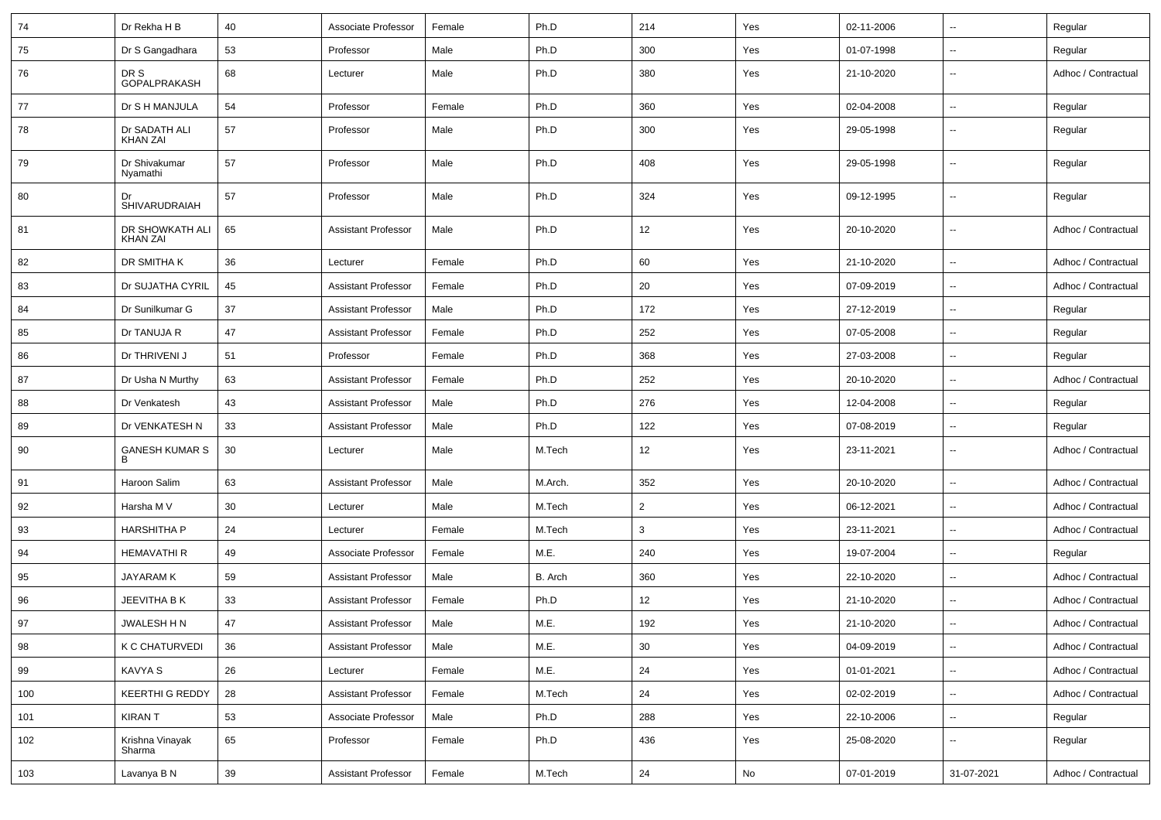| 74  | Dr Rekha H B                       | 40 | Associate Professor        | Female | Ph.D    | 214            | Yes | 02-11-2006 | $\overline{\phantom{a}}$ | Regular             |
|-----|------------------------------------|----|----------------------------|--------|---------|----------------|-----|------------|--------------------------|---------------------|
| 75  | Dr S Gangadhara                    | 53 | Professor                  | Male   | Ph.D    | 300            | Yes | 01-07-1998 | $\mathbf{u}$             | Regular             |
| 76  | DR S<br>GOPALPRAKASH               | 68 | Lecturer                   | Male   | Ph.D    | 380            | Yes | 21-10-2020 | $\overline{\phantom{a}}$ | Adhoc / Contractual |
| 77  | Dr S H MANJULA                     | 54 | Professor                  | Female | Ph.D    | 360            | Yes | 02-04-2008 | $\sim$                   | Regular             |
| 78  | Dr SADATH ALI<br><b>KHAN ZAI</b>   | 57 | Professor                  | Male   | Ph.D    | 300            | Yes | 29-05-1998 | $\overline{\phantom{a}}$ | Regular             |
| 79  | Dr Shivakumar<br>Nyamathi          | 57 | Professor                  | Male   | Ph.D    | 408            | Yes | 29-05-1998 | $\overline{\phantom{a}}$ | Regular             |
| 80  | SHIVARUDRAIAH                      | 57 | Professor                  | Male   | Ph.D    | 324            | Yes | 09-12-1995 | $\overline{\phantom{a}}$ | Regular             |
| 81  | DR SHOWKATH ALI<br><b>KHAN ZAI</b> | 65 | <b>Assistant Professor</b> | Male   | Ph.D    | 12             | Yes | 20-10-2020 | $\overline{\phantom{a}}$ | Adhoc / Contractual |
| 82  | DR SMITHA K                        | 36 | Lecturer                   | Female | Ph.D    | 60             | Yes | 21-10-2020 | $\overline{\phantom{a}}$ | Adhoc / Contractual |
| 83  | Dr SUJATHA CYRIL                   | 45 | <b>Assistant Professor</b> | Female | Ph.D    | 20             | Yes | 07-09-2019 | $\mathbf{u}$             | Adhoc / Contractual |
| 84  | Dr Sunilkumar G                    | 37 | <b>Assistant Professor</b> | Male   | Ph.D    | 172            | Yes | 27-12-2019 | $\overline{\phantom{a}}$ | Regular             |
| 85  | Dr TANUJA R                        | 47 | <b>Assistant Professor</b> | Female | Ph.D    | 252            | Yes | 07-05-2008 | $\overline{\phantom{a}}$ | Regular             |
| 86  | Dr THRIVENI J                      | 51 | Professor                  | Female | Ph.D    | 368            | Yes | 27-03-2008 | $\overline{\phantom{a}}$ | Regular             |
| 87  | Dr Usha N Murthy                   | 63 | <b>Assistant Professor</b> | Female | Ph.D    | 252            | Yes | 20-10-2020 | $\overline{\phantom{a}}$ | Adhoc / Contractual |
| 88  | Dr Venkatesh                       | 43 | <b>Assistant Professor</b> | Male   | Ph.D    | 276            | Yes | 12-04-2008 | $\mathbf{u}$             | Regular             |
| 89  | Dr VENKATESH N                     | 33 | <b>Assistant Professor</b> | Male   | Ph.D    | 122            | Yes | 07-08-2019 | $\mathbf{u}$             | Regular             |
| 90  | <b>GANESH KUMAR S</b><br>B         | 30 | Lecturer                   | Male   | M.Tech  | 12             | Yes | 23-11-2021 | $\overline{\phantom{a}}$ | Adhoc / Contractual |
| 91  | Haroon Salim                       | 63 | <b>Assistant Professor</b> | Male   | M.Arch. | 352            | Yes | 20-10-2020 | $\overline{\phantom{a}}$ | Adhoc / Contractual |
| 92  | Harsha M V                         | 30 | Lecturer                   | Male   | M.Tech  | $\overline{2}$ | Yes | 06-12-2021 | $\overline{\phantom{a}}$ | Adhoc / Contractual |
| 93  | <b>HARSHITHA P</b>                 | 24 | Lecturer                   | Female | M.Tech  | 3              | Yes | 23-11-2021 | $\overline{\phantom{a}}$ | Adhoc / Contractual |
| 94  | <b>HEMAVATHIR</b>                  | 49 | Associate Professor        | Female | M.E.    | 240            | Yes | 19-07-2004 | $\overline{\phantom{a}}$ | Regular             |
| 95  | JAYARAM K                          | 59 | <b>Assistant Professor</b> | Male   | B. Arch | 360            | Yes | 22-10-2020 | $\overline{\phantom{a}}$ | Adhoc / Contractual |
| 96  | JEEVITHA B K                       | 33 | <b>Assistant Professor</b> | Female | Ph.D    | 12             | Yes | 21-10-2020 | $\mathbf{u}$             | Adhoc / Contractual |
| 97  | JWALESH HN                         | 47 | <b>Assistant Professor</b> | Male   | M.E.    | 192            | Yes | 21-10-2020 | $\mathbf{u}$             | Adhoc / Contractual |
| 98  | K C CHATURVEDI                     | 36 | <b>Assistant Professor</b> | Male   | M.E.    | 30             | Yes | 04-09-2019 | ۰.                       | Adhoc / Contractual |
| 99  | KAVYA S                            | 26 | Lecturer                   | Female | M.E.    | 24             | Yes | 01-01-2021 | $\ddotsc$                | Adhoc / Contractual |
| 100 | KEERTHI G REDDY                    | 28 | <b>Assistant Professor</b> | Female | M.Tech  | 24             | Yes | 02-02-2019 | $\overline{\phantom{a}}$ | Adhoc / Contractual |
| 101 | <b>KIRANT</b>                      | 53 | Associate Professor        | Male   | Ph.D    | 288            | Yes | 22-10-2006 | $\overline{\phantom{a}}$ | Regular             |
| 102 | Krishna Vinayak<br>Sharma          | 65 | Professor                  | Female | Ph.D    | 436            | Yes | 25-08-2020 | $\overline{\phantom{a}}$ | Regular             |
| 103 | Lavanya B N                        | 39 | <b>Assistant Professor</b> | Female | M.Tech  | 24             | No  | 07-01-2019 | 31-07-2021               | Adhoc / Contractual |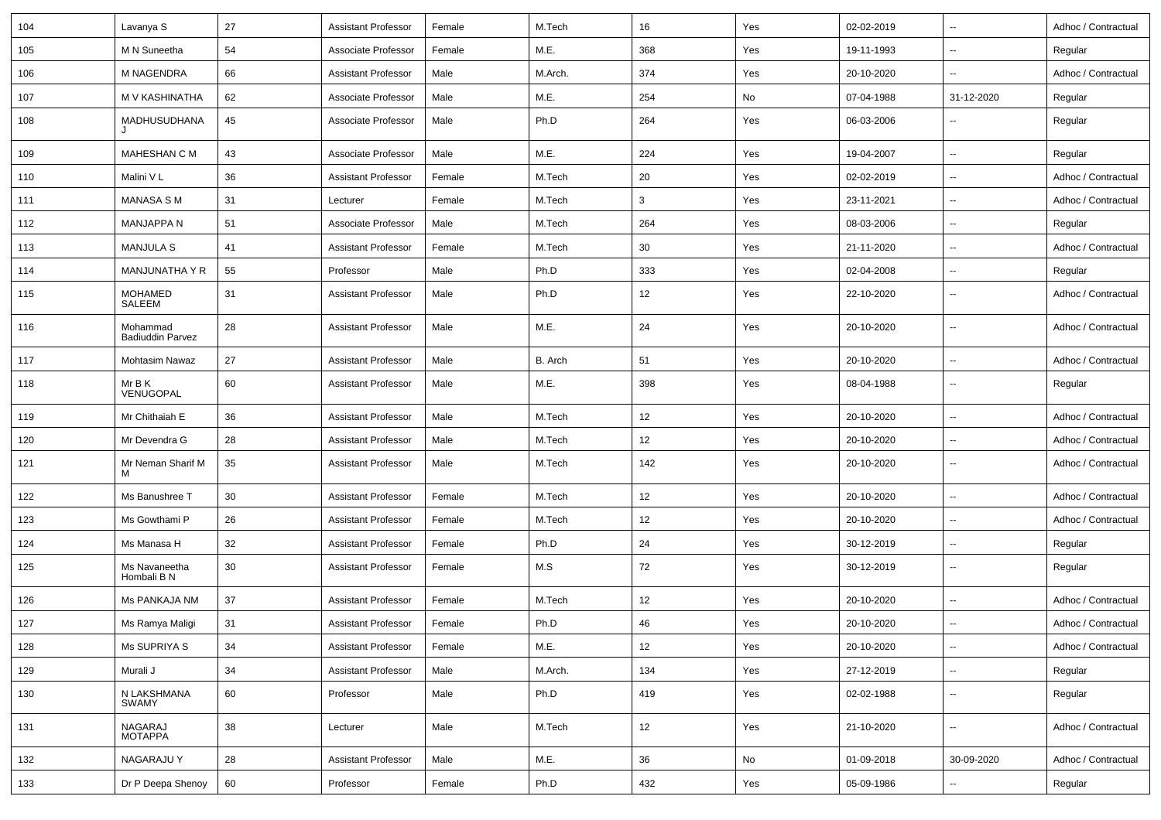| 104 | Lavanya S                           | 27 | <b>Assistant Professor</b> | Female | M.Tech  | 16  | Yes | 02-02-2019 | $\overline{\phantom{a}}$ | Adhoc / Contractual |
|-----|-------------------------------------|----|----------------------------|--------|---------|-----|-----|------------|--------------------------|---------------------|
| 105 | M N Suneetha                        | 54 | Associate Professor        | Female | M.E.    | 368 | Yes | 19-11-1993 | $\overline{\phantom{a}}$ | Regular             |
| 106 | <b>M NAGENDRA</b>                   | 66 | <b>Assistant Professor</b> | Male   | M.Arch. | 374 | Yes | 20-10-2020 | $\overline{\phantom{a}}$ | Adhoc / Contractual |
| 107 | M V KASHINATHA                      | 62 | Associate Professor        | Male   | M.E.    | 254 | No  | 07-04-1988 | 31-12-2020               | Regular             |
| 108 | MADHUSUDHANA                        | 45 | Associate Professor        | Male   | Ph.D    | 264 | Yes | 06-03-2006 | $\overline{\phantom{a}}$ | Regular             |
| 109 | <b>MAHESHAN C M</b>                 | 43 | Associate Professor        | Male   | M.E.    | 224 | Yes | 19-04-2007 | $\overline{\phantom{a}}$ | Regular             |
| 110 | Malini V L                          | 36 | <b>Assistant Professor</b> | Female | M.Tech  | 20  | Yes | 02-02-2019 | $\sim$                   | Adhoc / Contractual |
| 111 | MANASA S M                          | 31 | Lecturer                   | Female | M.Tech  | 3   | Yes | 23-11-2021 | $\overline{\phantom{a}}$ | Adhoc / Contractual |
| 112 | <b>MANJAPPA N</b>                   | 51 | Associate Professor        | Male   | M.Tech  | 264 | Yes | 08-03-2006 | $\overline{\phantom{a}}$ | Regular             |
| 113 | <b>MANJULA S</b>                    | 41 | <b>Assistant Professor</b> | Female | M.Tech  | 30  | Yes | 21-11-2020 | $\sim$                   | Adhoc / Contractual |
| 114 | MANJUNATHA Y R                      | 55 | Professor                  | Male   | Ph.D    | 333 | Yes | 02-04-2008 | $\overline{\phantom{a}}$ | Regular             |
| 115 | <b>MOHAMED</b><br>SALEEM            | 31 | <b>Assistant Professor</b> | Male   | Ph.D    | 12  | Yes | 22-10-2020 | $\overline{\phantom{a}}$ | Adhoc / Contractual |
| 116 | Mohammad<br><b>Badiuddin Parvez</b> | 28 | <b>Assistant Professor</b> | Male   | M.E.    | 24  | Yes | 20-10-2020 | $\overline{\phantom{a}}$ | Adhoc / Contractual |
| 117 | <b>Mohtasim Nawaz</b>               | 27 | <b>Assistant Professor</b> | Male   | B. Arch | 51  | Yes | 20-10-2020 | $\overline{\phantom{a}}$ | Adhoc / Contractual |
| 118 | Mr B K<br>VENUGOPAL                 | 60 | <b>Assistant Professor</b> | Male   | M.E.    | 398 | Yes | 08-04-1988 | $\sim$                   | Regular             |
| 119 | Mr Chithaiah E                      | 36 | Assistant Professor        | Male   | M.Tech  | 12  | Yes | 20-10-2020 | $\overline{\phantom{a}}$ | Adhoc / Contractual |
| 120 | Mr Devendra G                       | 28 | <b>Assistant Professor</b> | Male   | M.Tech  | 12  | Yes | 20-10-2020 | $\overline{\phantom{a}}$ | Adhoc / Contractual |
| 121 | Mr Neman Sharif M<br>м              | 35 | <b>Assistant Professor</b> | Male   | M.Tech  | 142 | Yes | 20-10-2020 | $\overline{\phantom{a}}$ | Adhoc / Contractual |
| 122 | Ms Banushree T                      | 30 | <b>Assistant Professor</b> | Female | M.Tech  | 12  | Yes | 20-10-2020 | $\overline{\phantom{a}}$ | Adhoc / Contractual |
| 123 | Ms Gowthami P                       | 26 | Assistant Professor        | Female | M.Tech  | 12  | Yes | 20-10-2020 | $\overline{\phantom{a}}$ | Adhoc / Contractual |
| 124 | Ms Manasa H                         | 32 | Assistant Professor        | Female | Ph.D    | 24  | Yes | 30-12-2019 | $\overline{\phantom{a}}$ | Regular             |
| 125 | Ms Navaneetha<br>Hombali B N        | 30 | <b>Assistant Professor</b> | Female | M.S     | 72  | Yes | 30-12-2019 | $\overline{\phantom{a}}$ | Regular             |
| 126 | Ms PANKAJA NM                       | 37 | <b>Assistant Professor</b> | Female | M.Tech  | 12  | Yes | 20-10-2020 | $\overline{\phantom{a}}$ | Adhoc / Contractual |
| 127 | Ms Ramya Maligi                     | 31 | <b>Assistant Professor</b> | Female | Ph.D    | 46  | Yes | 20-10-2020 | $\overline{\phantom{a}}$ | Adhoc / Contractual |
| 128 | Ms SUPRIYA S                        | 34 | <b>Assistant Professor</b> | Female | M.E.    | 12  | Yes | 20-10-2020 | ۰.                       | Adhoc / Contractual |
| 129 | Murali J                            | 34 | <b>Assistant Professor</b> | Male   | M.Arch. | 134 | Yes | 27-12-2019 | $\overline{\phantom{a}}$ | Regular             |
| 130 | N LAKSHMANA<br><b>SWAMY</b>         | 60 | Professor                  | Male   | Ph.D    | 419 | Yes | 02-02-1988 | ۰.                       | Regular             |
| 131 | NAGARAJ<br>MOTAPPA                  | 38 | Lecturer                   | Male   | M.Tech  | 12  | Yes | 21-10-2020 | ۰.                       | Adhoc / Contractual |
| 132 | NAGARAJU Y                          | 28 | <b>Assistant Professor</b> | Male   | M.E.    | 36  | No  | 01-09-2018 | 30-09-2020               | Adhoc / Contractual |
| 133 | Dr P Deepa Shenoy                   | 60 | Professor                  | Female | Ph.D    | 432 | Yes | 05-09-1986 | $\overline{\phantom{a}}$ | Regular             |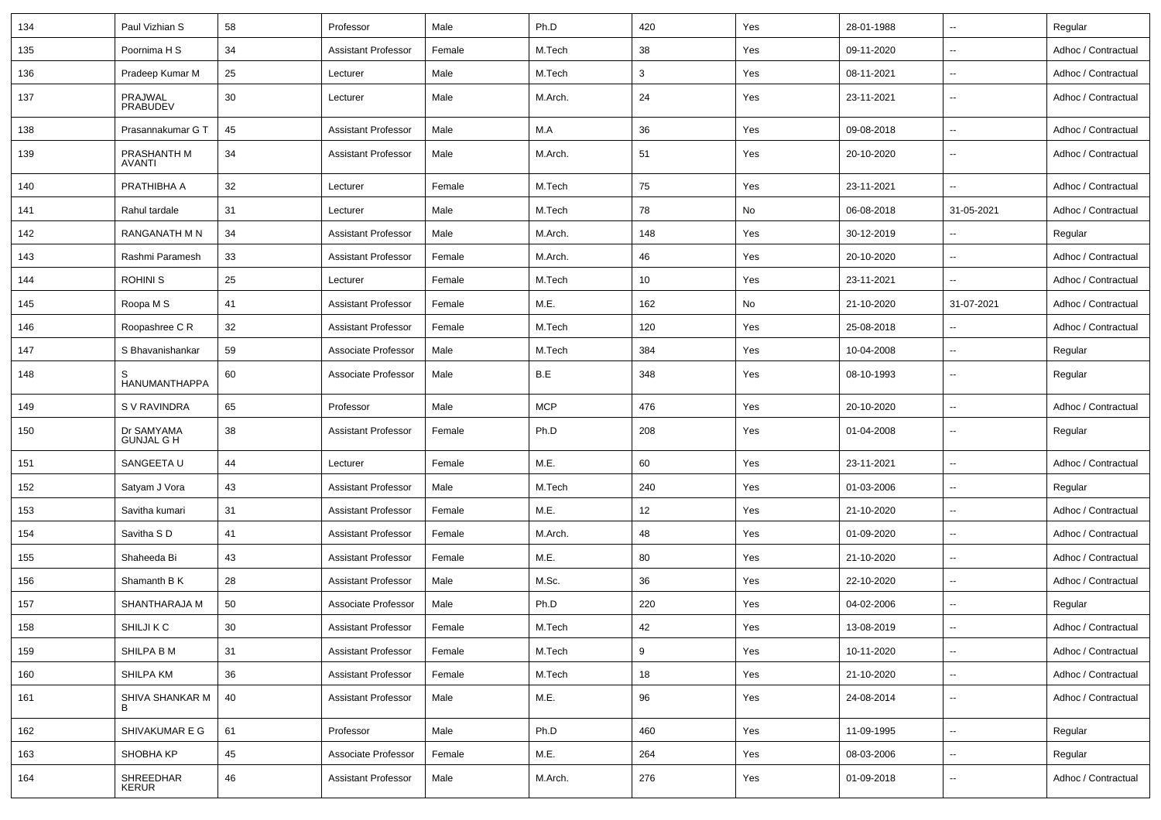| 134 | Paul Vizhian S                  | 58 | Professor                  | Male   | Ph.D       | 420 | Yes | 28-01-1988 | $\overline{\phantom{a}}$ | Regular             |
|-----|---------------------------------|----|----------------------------|--------|------------|-----|-----|------------|--------------------------|---------------------|
| 135 | Poornima H S                    | 34 | <b>Assistant Professor</b> | Female | M.Tech     | 38  | Yes | 09-11-2020 | $\overline{\phantom{a}}$ | Adhoc / Contractual |
| 136 | Pradeep Kumar M                 | 25 | Lecturer                   | Male   | M.Tech     | 3   | Yes | 08-11-2021 | $\overline{\phantom{a}}$ | Adhoc / Contractual |
| 137 | PRAJWAL<br>PRABUDEV             | 30 | Lecturer                   | Male   | M.Arch.    | 24  | Yes | 23-11-2021 | $\overline{\phantom{a}}$ | Adhoc / Contractual |
| 138 | Prasannakumar G T               | 45 | <b>Assistant Professor</b> | Male   | M.A        | 36  | Yes | 09-08-2018 | $\overline{\phantom{a}}$ | Adhoc / Contractual |
| 139 | PRASHANTH M<br><b>AVANTI</b>    | 34 | <b>Assistant Professor</b> | Male   | M.Arch.    | 51  | Yes | 20-10-2020 | $\overline{\phantom{a}}$ | Adhoc / Contractual |
| 140 | PRATHIBHA A                     | 32 | Lecturer                   | Female | M.Tech     | 75  | Yes | 23-11-2021 | $\overline{\phantom{a}}$ | Adhoc / Contractual |
| 141 | Rahul tardale                   | 31 | Lecturer                   | Male   | M.Tech     | 78  | No  | 06-08-2018 | 31-05-2021               | Adhoc / Contractual |
| 142 | <b>RANGANATH M N</b>            | 34 | <b>Assistant Professor</b> | Male   | M.Arch.    | 148 | Yes | 30-12-2019 | $\sim$                   | Regular             |
| 143 | Rashmi Paramesh                 | 33 | <b>Assistant Professor</b> | Female | M.Arch.    | 46  | Yes | 20-10-2020 | $\sim$                   | Adhoc / Contractual |
| 144 | <b>ROHINIS</b>                  | 25 | Lecturer                   | Female | M.Tech     | 10  | Yes | 23-11-2021 | ц,                       | Adhoc / Contractual |
| 145 | Roopa M S                       | 41 | <b>Assistant Professor</b> | Female | M.E.       | 162 | No  | 21-10-2020 | 31-07-2021               | Adhoc / Contractual |
| 146 | Roopashree C R                  | 32 | <b>Assistant Professor</b> | Female | M.Tech     | 120 | Yes | 25-08-2018 | $\overline{\phantom{a}}$ | Adhoc / Contractual |
| 147 | S Bhavanishankar                | 59 | Associate Professor        | Male   | M.Tech     | 384 | Yes | 10-04-2008 | $\overline{\phantom{a}}$ | Regular             |
| 148 | HANUMANTHAPPA                   | 60 | Associate Professor        | Male   | B.E        | 348 | Yes | 08-10-1993 | $\overline{\phantom{a}}$ | Regular             |
| 149 | S V RAVINDRA                    | 65 | Professor                  | Male   | <b>MCP</b> | 476 | Yes | 20-10-2020 | $\overline{\phantom{a}}$ | Adhoc / Contractual |
| 150 | Dr SAMYAMA<br><b>GUNJAL G H</b> | 38 | <b>Assistant Professor</b> | Female | Ph.D       | 208 | Yes | 01-04-2008 | $\overline{\phantom{a}}$ | Regular             |
| 151 | SANGEETA U                      | 44 | Lecturer                   | Female | M.E.       | 60  | Yes | 23-11-2021 | $\overline{\phantom{a}}$ | Adhoc / Contractual |
| 152 | Satyam J Vora                   | 43 | <b>Assistant Professor</b> | Male   | M.Tech     | 240 | Yes | 01-03-2006 | $\overline{\phantom{a}}$ | Regular             |
| 153 | Savitha kumari                  | 31 | <b>Assistant Professor</b> | Female | M.E.       | 12  | Yes | 21-10-2020 | $\overline{\phantom{a}}$ | Adhoc / Contractual |
| 154 | Savitha SD                      | 41 | <b>Assistant Professor</b> | Female | M.Arch.    | 48  | Yes | 01-09-2020 | $\overline{\phantom{a}}$ | Adhoc / Contractual |
| 155 | Shaheeda Bi                     | 43 | <b>Assistant Professor</b> | Female | M.E.       | 80  | Yes | 21-10-2020 | $\sim$                   | Adhoc / Contractual |
| 156 | Shamanth B K                    | 28 | <b>Assistant Professor</b> | Male   | M.Sc.      | 36  | Yes | 22-10-2020 | $\overline{\phantom{a}}$ | Adhoc / Contractual |
| 157 | SHANTHARAJA M                   | 50 | Associate Professor        | Male   | Ph.D       | 220 | Yes | 04-02-2006 | $\overline{\phantom{a}}$ | Regular             |
| 158 | SHILJI K C                      | 30 | <b>Assistant Professor</b> | Female | M.Tech     | 42  | Yes | 13-08-2019 | $\sim$                   | Adhoc / Contractual |
| 159 | SHILPA B M                      | 31 | <b>Assistant Professor</b> | Female | M.Tech     | 9   | Yes | 10-11-2020 | $\sim$                   | Adhoc / Contractual |
| 160 | SHILPA KM                       | 36 | <b>Assistant Professor</b> | Female | M.Tech     | 18  | Yes | 21-10-2020 | $\sim$                   | Adhoc / Contractual |
| 161 | SHIVA SHANKAR M                 | 40 | <b>Assistant Professor</b> | Male   | M.E.       | 96  | Yes | 24-08-2014 | $\sim$                   | Adhoc / Contractual |
| 162 | SHIVAKUMAR E G                  | 61 | Professor                  | Male   | Ph.D       | 460 | Yes | 11-09-1995 | $\sim$                   | Regular             |
| 163 | SHOBHA KP                       | 45 | Associate Professor        | Female | M.E.       | 264 | Yes | 08-03-2006 | $\sim$                   | Regular             |
| 164 | SHREEDHAR<br><b>KERUR</b>       | 46 | <b>Assistant Professor</b> | Male   | M.Arch.    | 276 | Yes | 01-09-2018 | $\sim$                   | Adhoc / Contractual |